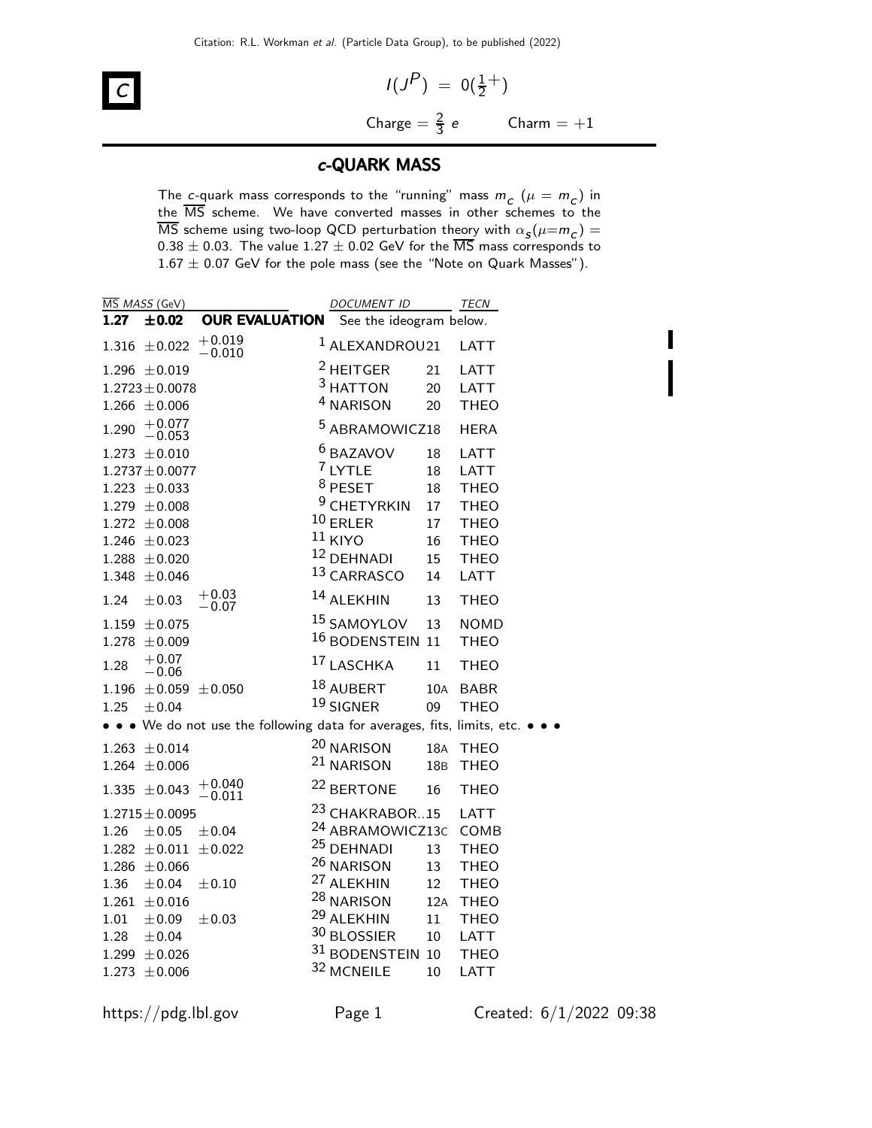

$$
I(JP) = O(\frac{1}{2}^+)
$$
  
Change =  $\frac{2}{3}$  e      Charm = +1

П

### c-QUARK MASS

The c-quark mass corresponds to the "running" mass  $m_c$  ( $\mu = m_c$ ) in the MS scheme. We have converted masses in other schemes to the MS scheme using two-loop QCD perturbation theory with  $\alpha_{\sf s}(\mu{=}m_{\sf c})=$  $0.38 \pm 0.03$ . The value  $1.27 \pm 0.02$  GeV for the  $\overline{\text{MS}}$  mass corresponds to  $1.67 \pm 0.07$  GeV for the pole mass (see the "Note on Quark Masses").

|       | MS MASS (GeV)                 |                                                                       | <b>DOCUMENT ID</b>          |     | TECN        |
|-------|-------------------------------|-----------------------------------------------------------------------|-----------------------------|-----|-------------|
| 1.27  | $\pm$ 0.02                    | <b>OUR EVALUATION</b>                                                 | See the ideogram below.     |     |             |
|       | $1.316 \pm 0.022$             | $+0.019$<br>$-0.010$                                                  | <sup>1</sup> ALEXANDROU21   |     | <b>LATT</b> |
|       | $1.296 \pm 0.019$             |                                                                       | <sup>2</sup> HEITGER        | 21  | <b>LATT</b> |
|       | $1.2723 \pm 0.0078$           |                                                                       | <sup>3</sup> HATTON         | 20  | LATT        |
|       | $1.266 \pm 0.006$             |                                                                       | <sup>4</sup> NARISON        | 20  | <b>THEO</b> |
| 1.290 | $+0.077$<br>$-0.053$          |                                                                       | <sup>5</sup> ABRAMOWICZ18   |     | <b>HERA</b> |
|       | $1.273 \pm 0.010$             |                                                                       | <sup>6</sup> BAZAVOV        | 18  | LATT        |
|       | $1.2737 \pm 0.0077$           |                                                                       | 7 LYTLE                     | 18  | LATT        |
|       | $1.223 \pm 0.033$             |                                                                       | $8$ PESET                   | 18  | <b>THEO</b> |
|       | $1.279 \pm 0.008$             |                                                                       | <sup>9</sup> CHETYRKIN      | 17  | <b>THEO</b> |
|       | $1.272 \pm 0.008$             |                                                                       | $10$ ERLER                  | 17  | <b>THEO</b> |
|       | $1.246 \pm 0.023$             |                                                                       | $11$ KIYO                   | 16  | <b>THEO</b> |
|       | $1.288 \pm 0.020$             |                                                                       | 12 DEHNADI                  | 15  | <b>THEO</b> |
|       | $1.348 \pm 0.046$             |                                                                       | 13 CARRASCO                 | 14  | <b>LATT</b> |
| 1.24  | $\pm 0.03$                    | $+0.03$<br>$-0.07$                                                    | 14 ALEKHIN                  | 13  | <b>THEO</b> |
|       | $1.159 \pm 0.075$             |                                                                       | <sup>15</sup> SAMOYLOV      | 13  | <b>NOMD</b> |
|       | $1.278 \pm 0.009$             |                                                                       | <sup>16</sup> BODENSTEIN 11 |     | <b>THEO</b> |
| 1.28  | $+0.07$<br>$-0.06$            |                                                                       | 17 LASCHKA                  | 11  | <b>THEO</b> |
|       | 1.196 $\pm$ 0.059 $\pm$ 0.050 |                                                                       | 18 AUBERT                   | 10A | <b>BABR</b> |
| 1.25  | $\pm$ 0.04                    |                                                                       | <sup>19</sup> SIGNER        | 09  | <b>THEO</b> |
|       |                               | • • We do not use the following data for averages, fits, limits, etc. |                             |     |             |
|       | $1.263 \pm 0.014$             |                                                                       | <sup>20</sup> NARISON       | 18A | <b>THEO</b> |
|       | $1.264 \pm 0.006$             |                                                                       | 21 NARISON                  | 18B | <b>THEO</b> |
|       | $1.335 \pm 0.043$             | $+0.040$<br>$-0.011$                                                  | <sup>22</sup> BERTONE       | 16  | <b>THEO</b> |
|       | $1.2715 \pm 0.0095$           |                                                                       | <sup>23</sup> CHAKRABOR15   |     | <b>LATT</b> |
| 1.26  | ±0.05                         | ±0.04                                                                 | <sup>24</sup> ABRAMOWICZ13C |     | COMB        |
|       | $1.282 \pm 0.011 \pm 0.022$   |                                                                       | <sup>25</sup> DEHNADI       | 13  | <b>THEO</b> |
|       | $1.286 \pm 0.066$             |                                                                       | <sup>26</sup> NARISON       | 13  | <b>THEO</b> |
| 1.36  | $\pm 0.04$                    | $\pm 0.10$                                                            | <sup>27</sup> ALEKHIN       | 12  | <b>THEO</b> |
|       | $1.261 \pm 0.016$             |                                                                       | <sup>28</sup> NARISON       | 12A | <b>THEO</b> |
| 1.01  | ±0.09                         | $\pm 0.03$                                                            | <sup>29</sup> ALEKHIN       | 11  | <b>THEO</b> |
| 1.28  | ±0.04                         |                                                                       | 30 BLOSSIER                 | 10  | <b>LATT</b> |
|       | $1.299 \pm 0.026$             |                                                                       | 31 BODENSTEIN 10            |     | <b>THEO</b> |
|       | $1.273 \pm 0.006$             |                                                                       | 32 MCNEILE                  | 10  | LATT        |
|       |                               |                                                                       |                             |     |             |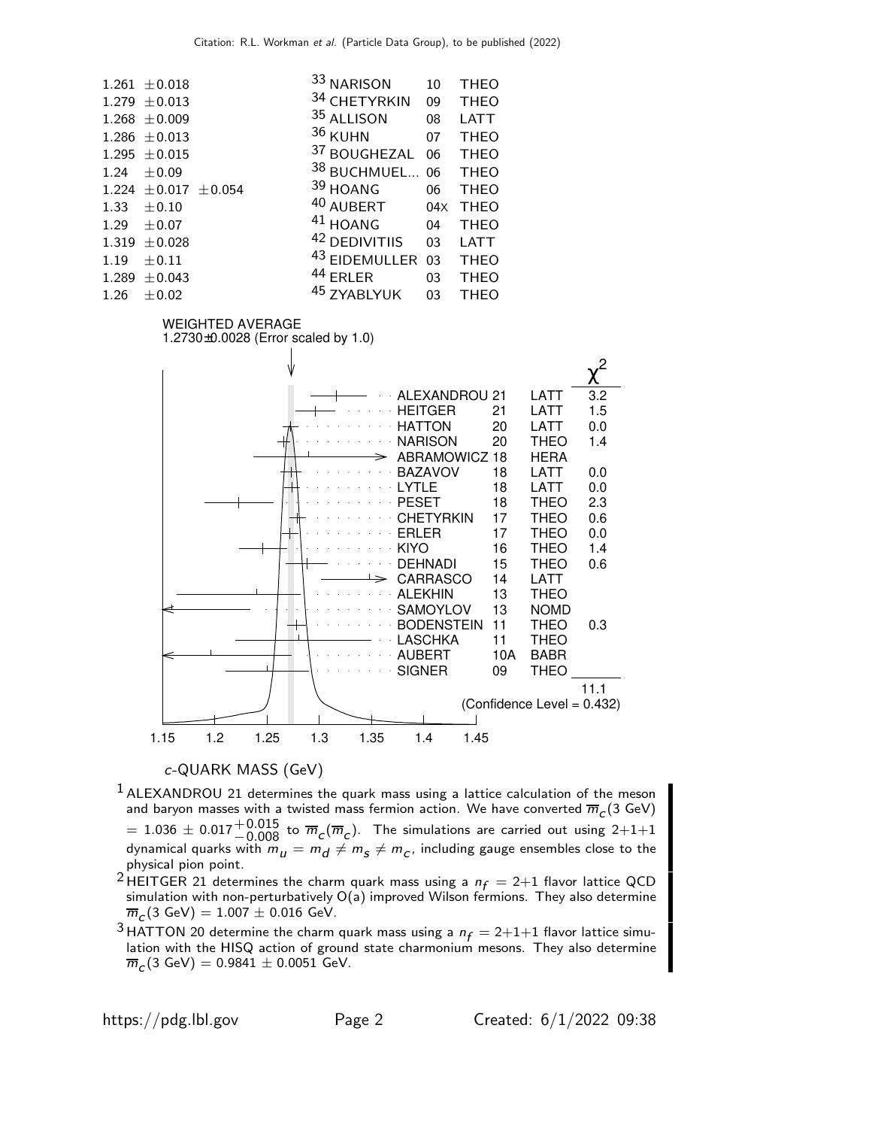|      | $1.261 \pm 0.018$           | 33 NARISON    | 10  | <b>THEO</b> |
|------|-----------------------------|---------------|-----|-------------|
|      | $1.279 \pm 0.013$           | 34 CHETYRKIN  | 09  | <b>THEO</b> |
|      | $1.268 \pm 0.009$           | 35 ALLISON    | 08  | <b>LATT</b> |
|      | $1.286 \pm 0.013$           | 36 KUHN       | 07  | <b>THEO</b> |
|      | $1.295 \pm 0.015$           | 37 BOUGHEZAL  | 06  | <b>THEO</b> |
| 1.24 | $\pm 0.09$                  | 38 BUCHMUEL   | 06  | <b>THEO</b> |
|      | $1.224 \pm 0.017 \pm 0.054$ | 39 HOANG      | 06  | <b>THEO</b> |
|      | $1.33 \pm 0.10$             | 40 AUBERT     | 04X | <b>THEO</b> |
| 1.29 | $\pm$ 0.07                  | $41$ HOANG    | 04  | <b>THEO</b> |
|      | $1.319 \pm 0.028$           | 42 DEDIVITIIS | 03  | <b>LATT</b> |
| 1.19 | $\pm 0.11$                  | 43 EIDEMULLER | 03  | <b>THEO</b> |
|      | $1.289 \pm 0.043$           | 44 ERLER      | 03  | <b>THEO</b> |
| 1.26 | $\pm 0.02$                  | 45 ZYABLYUK   | 03  | <b>THEO</b> |

#### WEIGHTED AVERAGE

1.2730±0.0028 (Error scaled by 1.0)



#### c-QUARK MASS (GeV)

- <sup>1</sup> ALEXANDROU 21 determines the quark mass using a lattice calculation of the meson and baryon masses with a twisted mass fermion action. We have converted  $\overline{m}_c(3 \text{ GeV})$  $\tau = 1.036 \pm 0.017 {+0.015 \atop -0.008}$  to  $\overline{m}_C(\overline{m}_C)$ . The simulations are carried out using 2+1+1 dynamical quarks with  $m_{\bm{u}} = m_{\bm{d}} \neq m_{\bm{s}} \neq m_{\bm{c}}$ , including gauge ensembles close to the physical pion point.
- <sup>2</sup> HEITGER 21 determines the charm quark mass using a  $n_f = 2+1$  flavor lattice QCD simulation with non-perturbatively O(a) improved Wilson fermions. They also determine  $\overline{m}_{\cal C}$ (3 GeV) = 1.007  $\pm$  0.016 GeV.

<sup>3</sup> HATTON 20 determine the charm quark mass using a  $n_f = 2+1+1$  flavor lattice simulation with the HISQ action of ground state charmonium mesons. They also determine  $\overline{m}_{\mathcal{C}}(3\; \text{GeV}) = 0.9841 \pm 0.0051\; \text{GeV}.$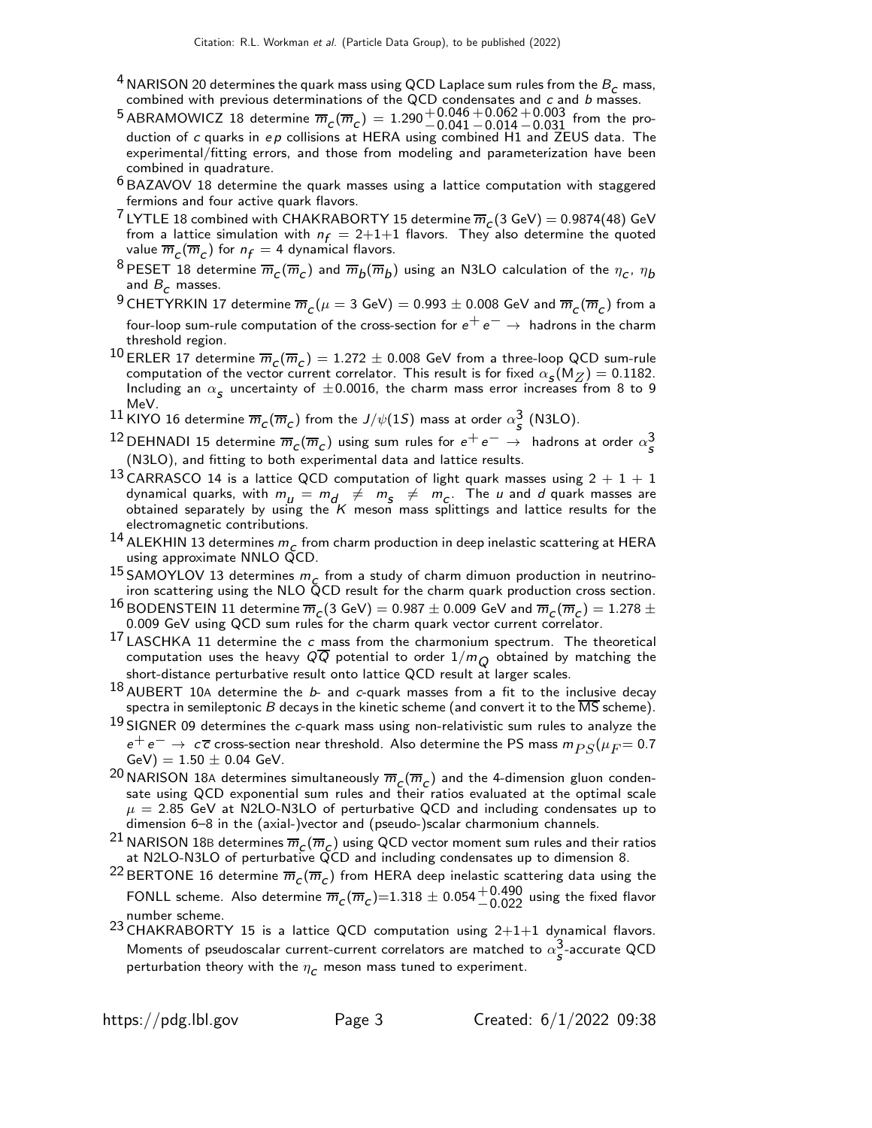- $^4$  NARISON 20 determines the quark mass using QCD Laplace sum rules from the  $B_{\boldsymbol{\mathcal{C}}}$  mass, combined with previous determinations of the QCD condensates and  $c$  and  $b$  masses.
- $^5$ ABRAMOWICZ 18 determine  $\overline{m}_C(\overline{m}_C) = 1.290 {+ 0.046 \atop -0.041}$  $+0.062$  $-0.014$  $^{\mathrm {+0.003}}_{\mathrm {-0.031}}$  from the production of  $c$  quarks in  $ep$  collisions at HERA using combined H1 and ZEUS data. The experimental/fitting errors, and those from modeling and parameterization have been combined in quadrature.
- $^6$ BAZAVOV 18 determine the quark masses using a lattice computation with staggered fermions and four active quark flavors.
- <sup>7</sup> LYTLE 18 combined with CHAKRABORTY 15 determine  $\overline{m}_c(3 \text{ GeV}) = 0.9874(48)$  GeV from a lattice simulation with  $n_f = 2+1+1$  flavors. They also determine the quoted value  $\overline{m}_C(\overline{m}_C)$  for  $n_f=4$  dynamical flavors.
- <sup>8</sup> PESET 18 determine  $\overline{m}_c(\overline{m}_c)$  and  $\overline{m}_b(\overline{m}_b)$  using an N3LO calculation of the  $\eta_c$ ,  $\eta_b$ and  $B_c$  masses.
- $^9$ CHETYRKIN 17 determine  $\overline m_{\cal C}(\mu=3$  GeV)  $=0.993\pm0.008$  GeV and  $\overline m_{\cal C}(\overline m_{\cal C})$  from a four-loop sum-rule computation of the cross-section for  $e^+e^- \rightarrow$  hadrons in the charm threshold region.
- $^{10}$  ERLER 17 determine  $\overline{m}_{\cal C}(\overline{m}_{\cal C}) = 1.272\pm 0.008$  GeV from a three-loop QCD sum-rule computation of the vector current correlator. This result is for fixed  $\alpha_{\mathcal{S}}(M_Z) = 0.1182$ . Including an  $\alpha_{\sf s}$  uncertainty of  $\pm 0.0016$ , the charm mass error increases from 8 to 9 MeV.
- $^{11}$ KIYO 16 determine  $\overline{m}_{\bm{\mathcal{C}}}(\overline{m}_{\bm{\mathcal{C}}})$  from the  $J/\psi(1S)$  mass at order  $\alpha_{\bm{\mathcal{S}}}^3$  (N3LO).
- <sup>12</sup> DEHNADI 15 determine  $\overline{m}_c(\overline{m}_c)$  using sum rules for  $e^+e^-\rightarrow$  hadrons at order  $\alpha_s^3$ (N3LO), and fitting to both experimental data and lattice results.
- 13 CARRASCO 14 is a lattice QCD computation of light quark masses using  $2 + 1 + 1$ dynamical quarks, with  $m_{\mu} = m_{d} \neq m_{\varsigma} \neq m_{C}$ . The  $\mu$  and  $d$  quark masses are obtained separately by using the  $K$  meson mass splittings and lattice results for the electromagnetic contributions.
- <sup>14</sup> ALEKHIN 13 determines  $m_c$  from charm production in deep inelastic scattering at HERA using approximate NNLO QCD.
- 15 SAMOYLOV 13 determines  $m_c$  from a study of charm dimuon production in neutrinoiron scattering using the NLO QCD result for the charm quark production cross section.
- <sup>16</sup> BODENSTEIN 11 determine  $\overline{m}_c(3 \text{ GeV}) = 0.987 \pm 0.009$  GeV and  $\overline{m}_c(\overline{m}_c) = 1.278 \pm 0.009$ 0.009 GeV using QCD sum rules for the charm quark vector current correlator.
- $17$  LASCHKA 11 determine the c mass from the charmonium spectrum. The theoretical computation uses the heavy QQ potential to order  $1/m<sub>O</sub>$  obtained by matching the short-distance perturbative result onto lattice QCD result at larger scales.
- $18$  AUBERT 10A determine the  $b$  and c-quark masses from a fit to the inclusive decay spectra in semileptonic  $B$  decays in the kinetic scheme (and convert it to the  $\overline{\text{MS}}$  scheme).
- $19$  SIGNER 09 determines the  $c$ -quark mass using non-relativistic sum rules to analyze the  $e^+ \, e^- \rightarrow~c\,\overline{c}$  cross-section near threshold. Also determine the PS mass  $m_{PS}(\mu_F{=}0.7)$  $GeV$ ) = 1.50  $\pm$  0.04 GeV.
- <sup>20</sup> NARISON 18A determines simultaneously  $\overline{m}_c(\overline{m}_c)$  and the 4-dimension gluon condensate using QCD exponential sum rules and their ratios evaluated at the optimal scale  $\mu = 2.85$  GeV at N2LO-N3LO of perturbative QCD and including condensates up to dimension 6–8 in the (axial-)vector and (pseudo-)scalar charmonium channels.
- <sup>21</sup> NARISON 18B determines  $\overline{m}_c(\overline{m}_c)$  using QCD vector moment sum rules and their ratios at N2LO-N3LO of perturbative QCD and including condensates up to dimension 8.
- <sup>22</sup> BERTONE 16 determine  $\overline{m}_c(\overline{m}_c)$  from HERA deep inelastic scattering data using the FONLL scheme. Also determine  $\overline{m}_c(\overline{m}_c)$ =1.318  $\pm$  0.054 $^{+0.490}_{-0.022}$  using the fixed flavor number scheme.
- 23 CHAKRABORTY 15 is a lattice QCD computation using  $2+1+1$  dynamical flavors. Moments of pseudoscalar current-current correlators are matched to  $\alpha_{\mathcal{S}}^{3}$ -accurate QCD perturbation theory with the  $\eta_c$  meson mass tuned to experiment.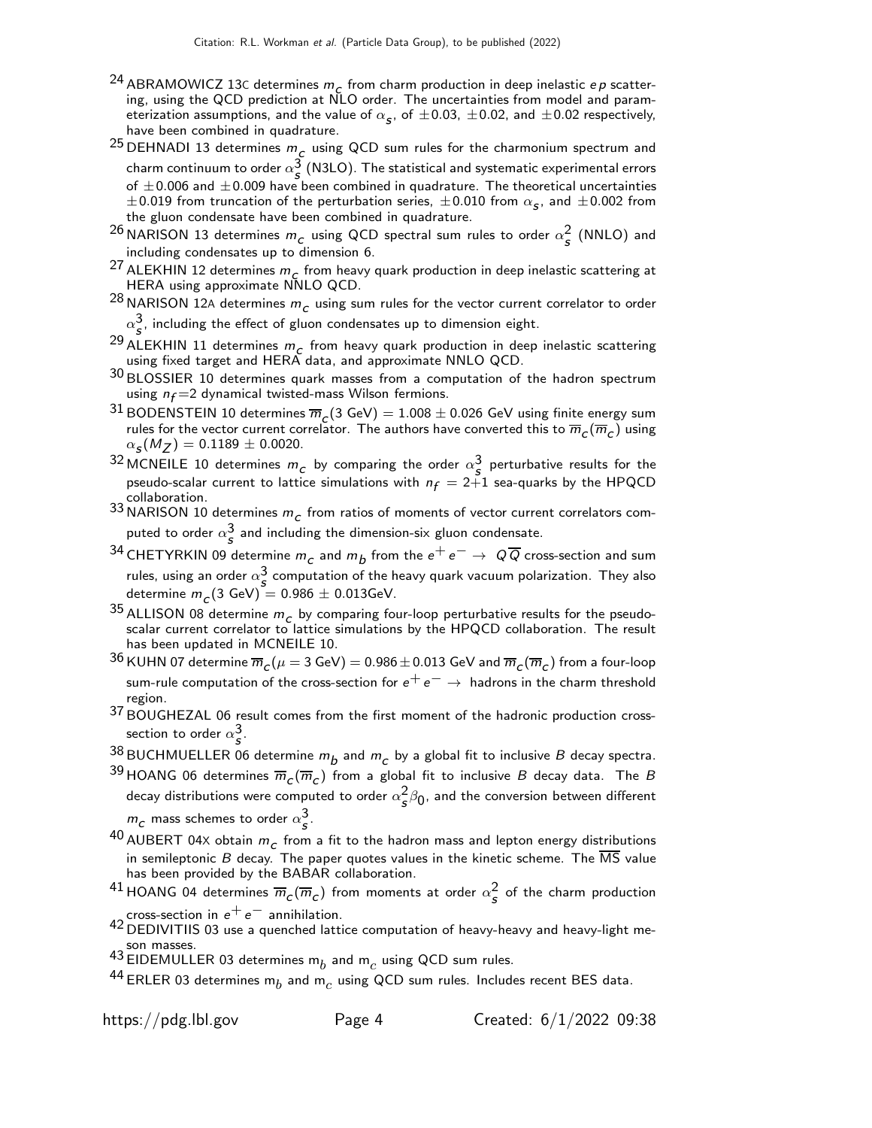- <sup>24</sup> ABRAMOWICZ 13C determines  $m_c$  from charm production in deep inelastic *ep* scattering, using the QCD prediction at NLO order. The uncertainties from model and parameterization assumptions, and the value of  $\alpha_{\bm{s}}$ , of  $\pm 0.03$ ,  $\pm 0.02$ , and  $\pm 0.02$  respectively, have been combined in quadrature.
- $^{25}$ DEHNADI 13 determines  $m_{\mu c}^{\phantom{\dag}}$  using QCD sum rules for the charmonium spectrum and charm continuum to order  $\alpha_s^3$  (N3LO). The statistical and systematic experimental errors of  $\pm$ 0.006 and  $\pm$ 0.009 have been combined in quadrature. The theoretical uncertainties  $\pm 0.019$  from truncation of the perturbation series,  $\pm 0.010$  from  $\alpha_{\bm{s}}$ , and  $\pm 0.002$  from the gluon condensate have been combined in quadrature.
- <sup>26</sup> NARISON 13 determines  $m_{c}$  using QCD spectral sum rules to order  $\alpha_s^2$  (NNLO) and including condensates up to dimension 6.
- <sup>27</sup> ALEKHIN 12 determines  $m_c$  from heavy quark production in deep inelastic scattering at HERA using approximate NNLO QCD.
- <sup>28</sup> NARISON 12A determines  $m_c$  using sum rules for the vector current correlator to order  $\alpha_{\bm{s}}^{\bm{3}},$  including the effect of gluon condensates up to dimension eight.
- <sup>29</sup> ALEKHIN 11 determines  $m_c$  from heavy quark production in deep inelastic scattering using fixed target and HERA data, and approximate NNLO QCD.
- 30 BLOSSIER 10 determines quark masses from a computation of the hadron spectrum using  $n_f = 2$  dynamical twisted-mass Wilson fermions.
- <sup>31</sup> BODENSTEIN 10 determines  $\overline{m}_c(3 \text{ GeV}) = 1.008 \pm 0.026$  GeV using finite energy sum rules for the vector current correlator. The authors have converted this to  $\overline{m}_c(\overline{m}_c)$  using  $\alpha_{\sf s}(M_Z^{})=0.1189\pm0.0020.$
- <sup>32</sup> MCNEILE 10 determines  $m_c$  by comparing the order  $\alpha_s^3$  perturbative results for the pseudo-scalar current to lattice simulations with  $n_f = 2+1$  sea-quarks by the HPQCD collaboration.

33 NARISON 10 determines  $m_c$  from ratios of moments of vector current correlators computed to order  $\alpha_{\mathcal{S}}^3$  and including the dimension-six gluon condensate.

- $^{34}$  CHETYRKIN 09 determine  $m_{_{\scriptstyle \cal C}}$  and  $m_{\scriptstyle \cal D}$  from the  $e^+ \, e^- \to \; Q \overline Q$  cross-section and sum rules, using an order  $\alpha_s^3$  computation of the heavy quark vacuum polarization. They also determine  $m_{\mathcal{C}}(3 \text{ GeV}) = 0.986 \pm 0.013 \text{GeV}.$
- <sup>35</sup> ALLISON 08 determine  $m_c$  by comparing four-loop perturbative results for the pseudoscalar current correlator to lattice simulations by the HPQCD collaboration. The result has been updated in MCNEILE 10.
- $^{36}$  KUHN 07 determine  $\overline{m}_C(\mu=3$  GeV)  $=$  0.986  $\pm$  0.013 GeV and  $\overline{m}_C(\overline{m}_C)$  from a four-loop sum-rule computation of the cross-section for  $e^+e^- \rightarrow$  hadrons in the charm threshold region.
- 37 BOUGHEZAL 06 result comes from the first moment of the hadronic production crosssection to order  $\alpha_{\scriptstyle{\mathcal{S}}}^{\scriptstyle{3}}.$
- $^{38}$ BUCHMUELLER 06 determine  $m_b$  and  $m_c$  by a global fit to inclusive  $B$  decay spectra.
- $^{39}$ HOANG 06 determines  $\overline{m}_C(\overline{m}_C)$  from a global fit to inclusive  $B$  decay data. The  $B$ decay distributions were computed to order  $\alpha_{\bm{s}}^2\beta_0$ , and the conversion between different  $m_{\mathcal{C}}$  mass schemes to order  $\alpha_{\mathcal{S}}^3$ .
- $^{40}$  AUBERT 04X obtain  $m_{\it c}^{\phantom{\dagger}}$  from a fit to the hadron mass and lepton energy distributions in semileptonic  $B$  decay. The paper quotes values in the kinetic scheme. The  $\overline{\text{MS}}$  value has been provided by the BABAR collaboration.
- $^{41}$ HOANG 04 determines  $\overline{m}_c(\overline{m}_c)$  from moments at order  $\alpha_s^2$  of the charm production cross-section in  $e^+e^-$  annihilation.
- 42 DEDIVITIIS 03 use a quenched lattice computation of heavy-heavy and heavy-light meson masses.
- 43 EIDEMULLER 03 determines  $m_b$  and  $m_c$  using QCD sum rules.
- $^{44}$  ERLER 03 determines m $_b$  and m $_c$  using QCD sum rules. Includes recent BES data.

https://pdg.lbl.gov Page 4 Created: 6/1/2022 09:38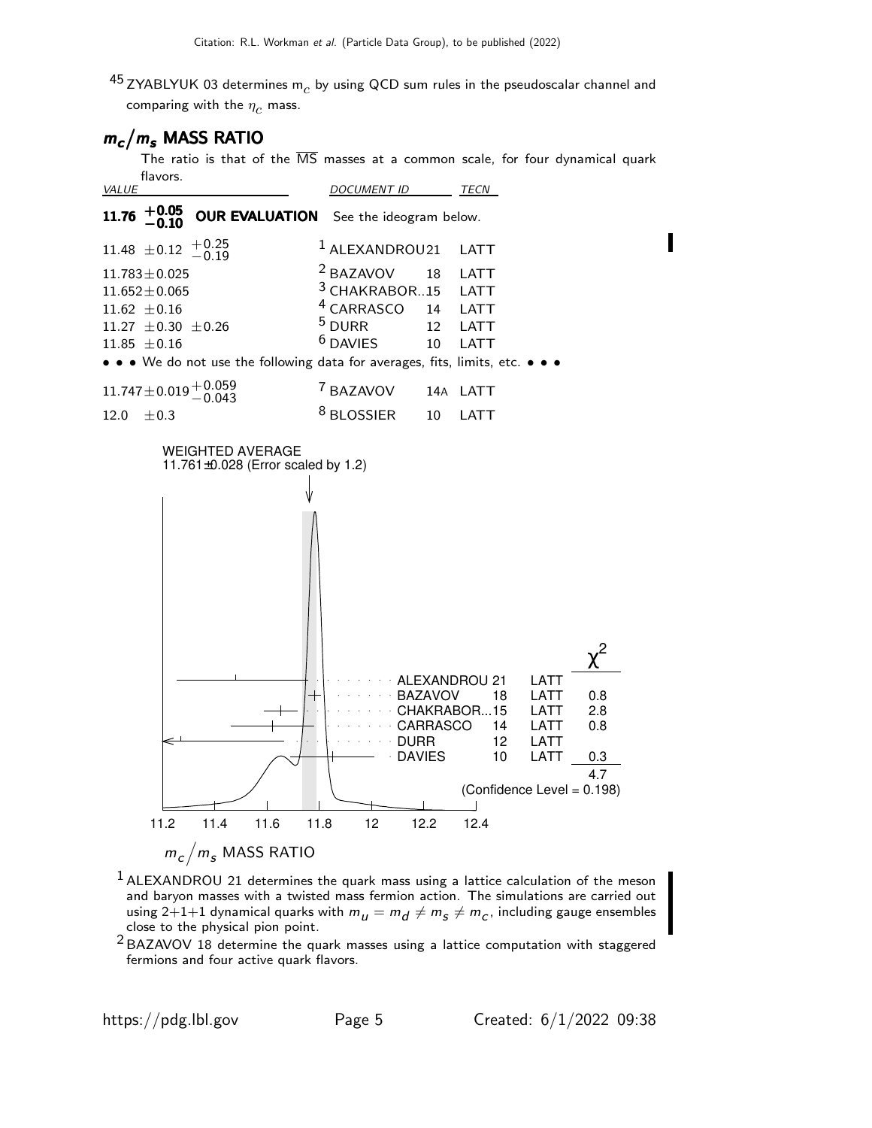$^{45}$  ZYABLYUK 03 determines m $_c$  by using QCD sum rules in the pseudoscalar channel and comparing with the  $\eta_c$  mass.

# $m_c/m_s$  MASS RATIO

The ratio is that of the  $\overline{\text{MS}}$  masses at a common scale, for four dynamical quark flavors.





- $<sup>1</sup>$  ALEXANDROU 21 determines the quark mass using a lattice calculation of the meson</sup> and baryon masses with a twisted mass fermion action. The simulations are carried out using 2 $+1+1$  dynamical quarks with  $m_{_{{I\!I}}} = m_{_{{I\!I}}} \neq m_{_{{S\!I}}} \neq m_{_{{C}},$  including gauge ensembles close to the physical pion point.
- $2$  BAZAVOV 18 determine the quark masses using a lattice computation with staggered fermions and four active quark flavors.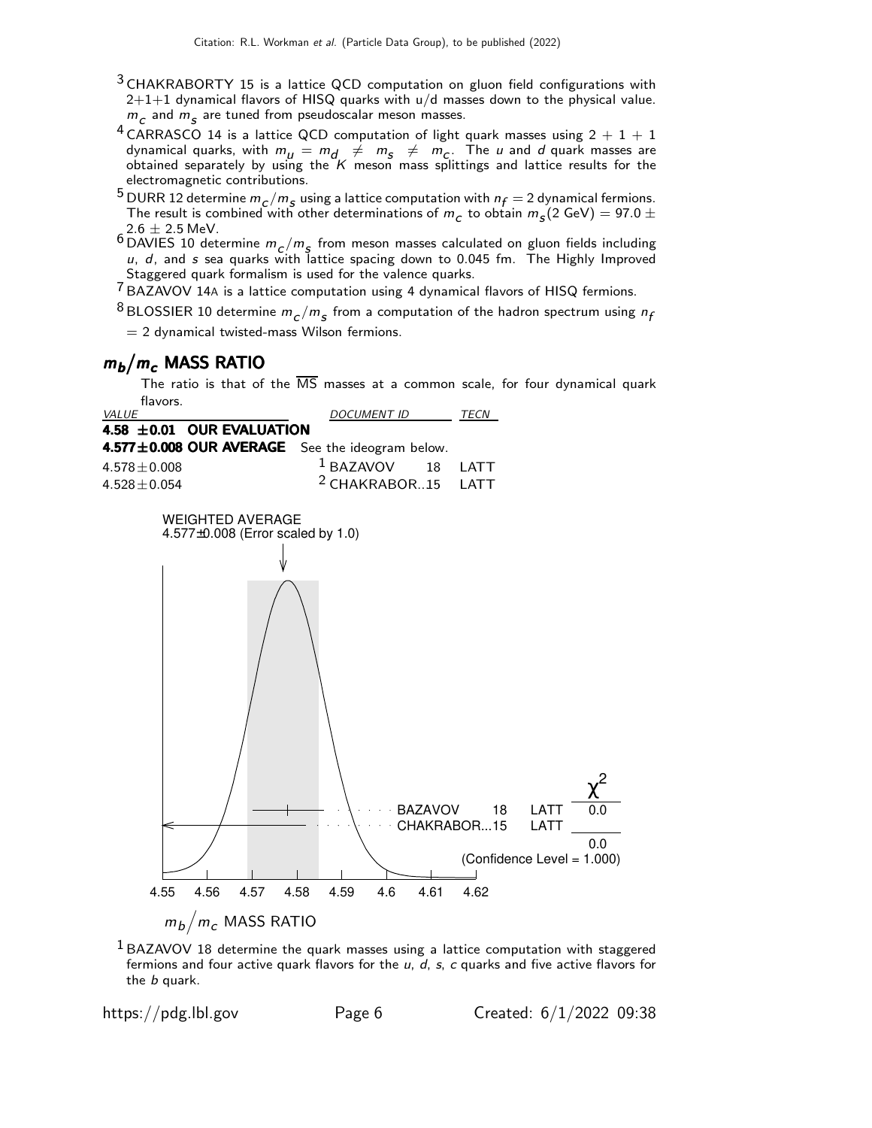- <sup>3</sup> CHAKRABORTY 15 is a lattice QCD computation on gluon field configurations with  $2+1+1$  dynamical flavors of HISQ quarks with  $u/d$  masses down to the physical value.  $m_c$  and  $m_S$  are tuned from pseudoscalar meson masses.
- $^4$  CARRASCO 14 is a lattice QCD computation of light quark masses using 2  $+$  1  $+$  1 dynamical quarks, with  $m_{\mu} = m_{d} \neq m_{s} \neq m_{c}$ . The  $\mu$  and  $d$  quark masses are obtained separately by using the  $K$  meson mass splittings and lattice results for the electromagnetic contributions.
- <sup>5</sup> DURR 12 determine  $m_c/m_s$  using a lattice computation with  $n_f = 2$  dynamical fermions. The result is combined with other determinations of  $m_c$  to obtain  $m_s(2 \text{ GeV}) = 97.0 \pm 0.000$  $2.6 \pm 2.5$  MeV.
- <sup>6</sup> DAVIES 10 determine  $m_c/m_s$  from meson masses calculated on gluon fields including  $u$ , d, and s sea quarks with lattice spacing down to 0.045 fm. The Highly Improved Staggered quark formalism is used for the valence quarks.

7 BAZAVOV 14<sup>A</sup> is a lattice computation using 4 dynamical flavors of HISQ fermions.

 $^8$ BLOSSIER 10 determine  $m_{_C}/m_{_S}$  from a computation of the hadron spectrum using  $n_{\!f}$ 

 $= 2$  dynamical twisted-mass Wilson fermions.

# $m_b/m_c$  MASS RATIO

The ratio is that of the  $\overline{\text{MS}}$  masses at a common scale, for four dynamical quark flavors.



 $1$  BAZAVOV 18 determine the quark masses using a lattice computation with staggered fermions and four active quark flavors for the  $u$ ,  $d$ ,  $s$ ,  $c$  quarks and five active flavors for the b quark.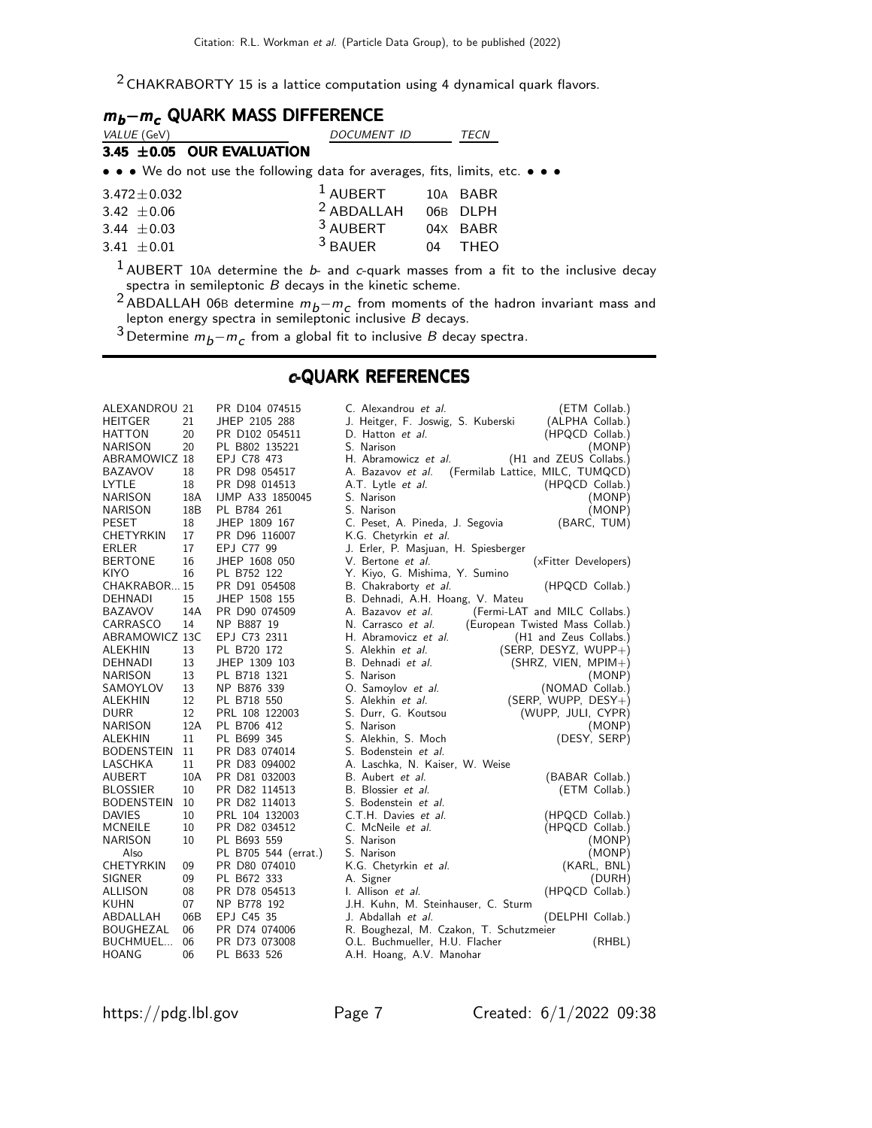$2$  CHAKRABORTY 15 is a lattice computation using 4 dynamical quark flavors.

| $m_b - m_c$ QUARK MASS DIFFERENCE                                                                                     |                                |    |             |  |  |  |
|-----------------------------------------------------------------------------------------------------------------------|--------------------------------|----|-------------|--|--|--|
| VALUE (GeV)                                                                                                           | DOCUMENT ID                    |    | TECN        |  |  |  |
| 3.45 ±0.05 OUR EVALUATION                                                                                             |                                |    |             |  |  |  |
| $\bullet \bullet \bullet$ We do not use the following data for averages, fits, limits, etc. $\bullet \bullet \bullet$ |                                |    |             |  |  |  |
| $3.472 \pm 0.032$                                                                                                     | $^1$ AUBERT                    |    | 10A BABR    |  |  |  |
| 3.42 $\pm$ 0.06                                                                                                       | <sup>2</sup> ABDALLAH 06B DLPH |    |             |  |  |  |
| 3.44 $\pm 0.03$                                                                                                       | <sup>3</sup> AUBERT            |    | 04X BABR    |  |  |  |
| 3.41 $\pm 0.01$                                                                                                       | $3$ BAUER                      | 04 | <b>THFO</b> |  |  |  |

 $^1$  AUBERT 10A determine the  $b$ - and c-quark masses from a fit to the inclusive decay spectra in semileptonic  $B$  decays in the kinetic scheme.

<sup>2</sup> ABDALLAH 06B determine  $m_b-m_c$  from moments of the hadron invariant mass and lepton energy spectra in semileptonic inclusive  $B$  decays.

3 Determine  $m_b - m_c$  from a global fit to inclusive B decay spectra.

### c-QUARK REFERENCES

| ALEXANDROU 21                |     | PR D104 074515       | C. Alexandrou et al.<br>(ETM Collab.)                     |  |
|------------------------------|-----|----------------------|-----------------------------------------------------------|--|
| <b>HEITGER</b>               | 21  | JHEP 2105 288        | (ALPHA Collab.)<br>J. Heitger, F. Joswig, S. Kuberski     |  |
| <b>HATTON</b>                | 20  | PR D102 054511       | D. Hatton et al.<br>(HPQCD Collab.)                       |  |
| NARISON                      | 20  | PL B802 135221       | S. Narison<br>(MONP)                                      |  |
| ABRAMOWICZ 18                |     | EPJ C78 473          | (H1 and ZEUS Collabs.)<br>H. Abramowicz et al.            |  |
| <b>BAZAVOV</b>               | 18  | PR D98 054517        | (Fermilab Lattice, MILC, TUMQCD)<br>A. Bazavov et al.     |  |
| LYTLE                        | 18  | PR D98 014513        | (HPQCD Collab.)<br>A.T. Lytle <i>et al.</i>               |  |
| <b>NARISON</b>               | 18A | IJMP A33 1850045     | S. Narison<br>(MONP)                                      |  |
| <b>NARISON</b>               | 18B | PL B784 261          | (MONP)<br>S. Narison                                      |  |
| <b>PESET</b>                 | 18  | JHEP 1809 167        | (BARC, TUM)<br>C. Peset, A. Pineda, J. Segovia            |  |
| <b>CHETYRKIN</b>             | 17  | PR D96 116007        | K.G. Chetyrkin et al.                                     |  |
| <b>ERLER</b>                 | 17  | EPJ C77 99           | J. Erler, P. Masjuan, H. Spiesberger                      |  |
| <b>BERTONE</b>               | 16  | JHEP 1608 050        | V. Bertone <i>et al.</i><br>(xFitter Developers)          |  |
| KIYO                         | 16  | PL B752 122          | Y. Kiyo, G. Mishima, Y. Sumino                            |  |
| CHAKRABOR15                  |     | PR D91 054508        | B. Chakraborty et al.<br>(HPQCD Collab.)                  |  |
| DEHNADI                      | 15  | JHEP 1508 155        | B. Dehnadi, A.H. Hoang, V. Mateu                          |  |
| <b>BAZAVOV</b>               | 14A | PR D90 074509        | (Fermi-LAT and MILC Collabs.)<br>A. Bazavov et <i>al.</i> |  |
| CARRASCO                     | 14  | NP B887 19           | N. Carrasco et al.<br>(European Twisted Mass Collab.)     |  |
| ABRAMOWICZ 13C               |     | EPJ C73 2311         | H. Abramovicz et al.<br>(H1 and Zeus Collabs.)            |  |
| ALEKHIN                      | 13  | PL B720 172          | S. Alekhin et al.<br>$(SERP, DESYZ, WUPP+)$               |  |
| <b>DEHNADI</b>               | 13  | JHEP 1309 103        | B. Dehnadi et al.<br>$(SHRZ, VIEN, MPIM+)$                |  |
| <b>NARISON</b>               | 13  | PL B718 1321         | S. Narison<br>(MONP)                                      |  |
| SAMOYLOV                     | 13  | NP B876 339          | O. Samoylov et al.<br>(NOMAD Collab.)                     |  |
| ALEKHIN                      | 12  | PL B718 550          | S. Alekhin et al.<br>(SERP, WUPP, $DESY+$ )               |  |
| <b>DURR</b>                  | 12  | PRL 108 122003       | S. Durr, G. Koutsou<br>(WUPP, JULI, CYPR)                 |  |
| <b>NARISON</b>               | 12A | PL B706 412          | S. Narison<br>(MONP)                                      |  |
| ALEKHIN                      | 11  | PL B699 345          | S. Alekhin, S. Moch<br>(DESY, SERP)                       |  |
| <b>BODENSTEIN</b>            | 11  | PR D83 074014        | S. Bodenstein et al.                                      |  |
| LASCHKA                      | 11  | PR D83 094002        | A. Laschka, N. Kaiser, W. Weise                           |  |
| <b>AUBERT</b>                | 10A | PR D81 032003        | B. Aubert et al.<br>(BABAR Collab.)                       |  |
| <b>BLOSSIER</b>              | 10  | PR D82 114513        | B. Blossier et al.<br>(ETM Collab.)                       |  |
| <b>BODENSTEIN</b>            | 10  | PR D82 114013        | S. Bodenstein et al.                                      |  |
| <b>DAVIES</b>                | 10  | PRL 104 132003       | C.T.H. Davies et al.<br>(HPQCD Collab.)                   |  |
| <b>MCNEILE</b>               | 10  | PR D82 034512        | C. McNeile et al.<br>(HPQCD Collab.)                      |  |
| <b>NARISON</b>               | 10  | PL B693 559          | S. Narison<br>(MONP)                                      |  |
| Also                         |     | PL B705 544 (errat.) | (MONP)<br>S. Narison                                      |  |
| CHETYRKIN                    | 09  | PR D80 074010        | K.G. Chetyrkin et al.<br>(KARL, BNL)                      |  |
| SIGNER                       | 09  | PL B672 333          | A. Signer<br>(DURH)                                       |  |
| ALLISON                      | 08  | PR D78 054513        | (HPQCD Collab.)<br>I. Allison et al.                      |  |
| <b>KUHN</b>                  | 07  | NP B778 192          |                                                           |  |
|                              | 06B | EPJ C45 35           | J.H. Kuhn, M. Steinhauser, C. Sturm                       |  |
| ABDALLAH<br><b>BOUGHEZAL</b> | 06  | PR D74 074006        | J. Abdallah et al.<br>(DELPHI Collab.)                    |  |
|                              | 06  |                      | R. Boughezal, M. Czakon, T. Schutzmeier                   |  |
| BUCHMUEL                     |     | PR D73 073008        | O.L. Buchmueller, H.U. Flacher<br>(RHBL)                  |  |
| <b>HOANG</b>                 | 06  | PL B633 526          | A.H. Hoang, A.V. Manohar                                  |  |